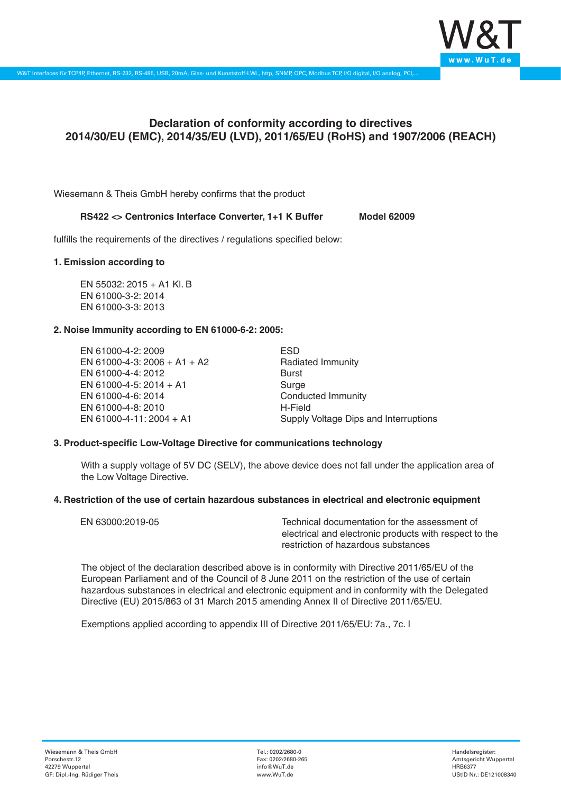

# **Declaration of conformity according to directives 2014/30/EU (EMC), 2014/35/EU (LVD), 2011/65/EU (RoHS) and 1907/2006 (REACH)**

Wiesemann & Theis GmbH hereby confirms that the product

# **RS422 <> Centronics Interface Converter, 1+1 K Buffer Model 62009**

fulfills the requirements of the directives / regulations specified below:

#### **1. Emission according to**

EN 55032: 2015 + A1 Kl. B EN 61000-3-2: 2014 EN 61000-3-3: 2013

#### **2. Noise Immunity according to EN 61000-6-2: 2005:**

EN 61000-4-2: 2009 EN 61000-4-3: 2006 + A1 + A2 EN 61000-4-4: 2012 EN 61000-4-5: 2014 + A1 EN 61000-4-6: 2014 EN 61000-4-8: 2010 EN 61000-4-11: 2004 + A1

ESD Radiated Immunity Burst Surge Conducted Immunity H-Field Supply Voltage Dips and Interruptions

# **3. Product-specific Low-Voltage Directive for communications technology**

With a supply voltage of 5V DC (SELV), the above device does not fall under the application area of the Low Voltage Directive.

#### **4. Restriction of the use of certain hazardous substances in electrical and electronic equipment**

| EN 63000:2019-05 | Technical documentation for the assessment of          |
|------------------|--------------------------------------------------------|
|                  | electrical and electronic products with respect to the |
|                  | restriction of hazardous substances                    |

The object of the declaration described above is in conformity with Directive 2011/65/EU of the European Parliament and of the Council of 8 June 2011 on the restriction of the use of certain hazardous substances in electrical and electronic equipment and in conformity with the Delegated Directive (EU) 2015/863 of 31 March 2015 amending Annex II of Directive 2011/65/EU.

Exemptions applied according to appendix III of Directive 2011/65/EU: 7a., 7c. I